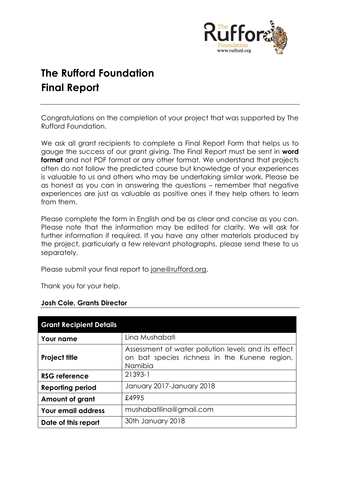

# **The Rufford Foundation Final Report**

Congratulations on the completion of your project that was supported by The Rufford Foundation.

We ask all grant recipients to complete a Final Report Form that helps us to gauge the success of our grant giving. The Final Report must be sent in **word format** and not PDF format or any other format. We understand that projects often do not follow the predicted course but knowledge of your experiences is valuable to us and others who may be undertaking similar work. Please be as honest as you can in answering the questions – remember that negative experiences are just as valuable as positive ones if they help others to learn from them.

Please complete the form in English and be as clear and concise as you can. Please note that the information may be edited for clarity. We will ask for further information if required. If you have any other materials produced by the project, particularly a few relevant photographs, please send these to us separately.

Please submit your final report to [jane@rufford.org.](mailto:jane@rufford.org)

Thank you for your help.

| <b>Grant Recipient Details</b> |                                                                                                                 |  |  |  |
|--------------------------------|-----------------------------------------------------------------------------------------------------------------|--|--|--|
| <b>Your name</b>               | Lina Mushabati                                                                                                  |  |  |  |
| <b>Project title</b>           | Assessment of water pollution levels and its effect<br>on bat species richness in the Kunene region,<br>Namibia |  |  |  |
| <b>RSG reference</b>           | 21393-1                                                                                                         |  |  |  |
| <b>Reporting period</b>        | January 2017-January 2018                                                                                       |  |  |  |
| Amount of grant                | £4995                                                                                                           |  |  |  |
| Your email address             | mushabatilina@gmail.com                                                                                         |  |  |  |
| Date of this report            | 30th January 2018                                                                                               |  |  |  |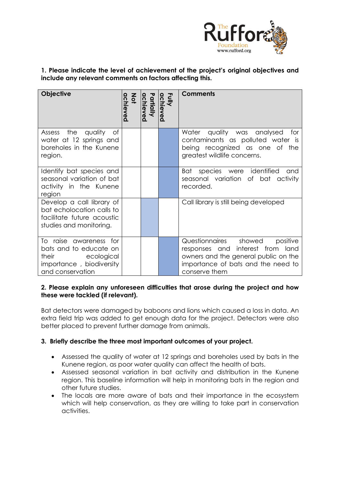

# **1. Please indicate the level of achievement of the project's original objectives and include any relevant comments on factors affecting this.**

| <b>Objective</b>                                                                                                        | $rac{2}{9}$<br>achieved | Partially<br>chieved | Fully<br>achiever<br>$\tilde{\mathbf{Q}}$ | <b>Comments</b>                                                                                                                                                      |
|-------------------------------------------------------------------------------------------------------------------------|-------------------------|----------------------|-------------------------------------------|----------------------------------------------------------------------------------------------------------------------------------------------------------------------|
| Assess the quality<br>ot<br>water at 12 springs and<br>boreholes in the Kunene<br>region.                               |                         |                      |                                           | Water quality was analysed<br>tor<br>contaminants as polluted water is<br>being recognized as one of the<br>greatest wildlife concerns.                              |
| Identify bat species and<br>seasonal variation of bat<br>activity in the Kunene<br>region                               |                         |                      |                                           | Bat<br>species were identified<br>and<br>seasonal variation of bat<br>activity<br>recorded.                                                                          |
| Develop a call library of<br>bat echolocation calls to<br>facilitate future acoustic<br>studies and monitoring.         |                         |                      |                                           | Call library is still being developed                                                                                                                                |
| To raise awareness for<br>bats and to educate on<br>their<br>ecological<br>importance, biodiversity<br>and conservation |                         |                      |                                           | Questionnaires showed<br>positive<br>responses and interest from land<br>owners and the general public on the<br>importance of bats and the need to<br>conserve them |

#### **2. Please explain any unforeseen difficulties that arose during the project and how these were tackled (if relevant).**

Bat detectors were damaged by baboons and lions which caused a loss in data. An extra field trip was added to get enough data for the project. Detectors were also better placed to prevent further damage from animals.

# **3. Briefly describe the three most important outcomes of your project.**

- Assessed the quality of water at 12 springs and boreholes used by bats in the Kunene region, as poor water quality can affect the health of bats.
- Assessed seasonal variation in bat activity and distribution in the Kunene region. This baseline information will help in monitoring bats in the region and other future studies.
- The locals are more aware of bats and their importance in the ecosystem which will help conservation, as they are willing to take part in conservation activities.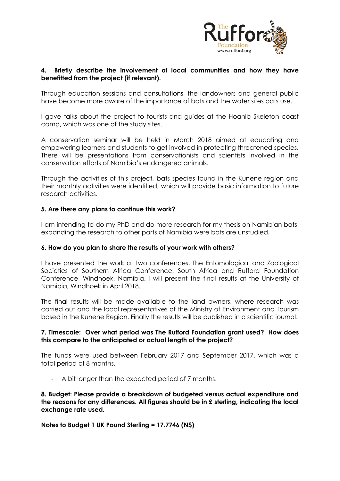

# **4. Briefly describe the involvement of local communities and how they have benefitted from the project (if relevant).**

Through education sessions and consultations, the landowners and general public have become more aware of the importance of bats and the water sites bats use.

I gave talks about the project to tourists and guides at the Hoanib Skeleton coast camp, which was one of the study sites.

A conservation seminar will be held in March 2018 aimed at educating and empowering learners and students to get involved in protecting threatened species. There will be presentations from conservationists and scientists involved in the conservation efforts of Namibia's endangered animals.

Through the activities of this project, bats species found in the Kunene region and their monthly activities were identified, which will provide basic information to future research activities.

# **5. Are there any plans to continue this work?**

I am intending to do my PhD and do more research for my thesis on Namibian bats, expanding the research to other parts of Namibia were bats are unstudied**.**

#### **6. How do you plan to share the results of your work with others?**

I have presented the work at two conferences, The Entomological and Zoological Societies of Southern Africa Conference, South Africa and Rufford Foundation Conference, Windhoek, Namibia. I will present the final results at the University of Namibia, Windhoek in April 2018.

The final results will be made available to the land owners, where research was carried out and the local representatives of the Ministry of Environment and Tourism based in the Kunene Region. Finally the results will be published in a scientific journal.

#### **7. Timescale: Over what period was The Rufford Foundation grant used? How does this compare to the anticipated or actual length of the project?**

The funds were used between February 2017 and September 2017, which was a total period of 8 months.

- A bit longer than the expected period of 7 months.

**8. Budget: Please provide a breakdown of budgeted versus actual expenditure and the reasons for any differences. All figures should be in £ sterling, indicating the local exchange rate used.** 

**Notes to Budget 1 UK Pound Sterling = 17.7746 (N\$)**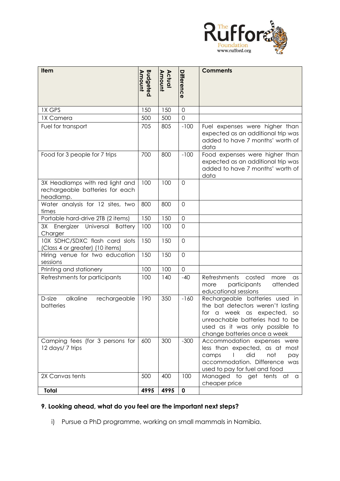

| Item                                                                            |                                  |                  |                   | <b>Comments</b>                                                                                                                                                                                               |
|---------------------------------------------------------------------------------|----------------------------------|------------------|-------------------|---------------------------------------------------------------------------------------------------------------------------------------------------------------------------------------------------------------|
|                                                                                 | <b>Budgeted</b><br><b>Amount</b> | Amount<br>Actual | <b>Difference</b> |                                                                                                                                                                                                               |
|                                                                                 |                                  |                  |                   |                                                                                                                                                                                                               |
|                                                                                 |                                  |                  |                   |                                                                                                                                                                                                               |
| <b>IX GPS</b>                                                                   | 150                              | 150              | $\overline{0}$    |                                                                                                                                                                                                               |
| 1X Camera                                                                       | 500                              | 500              | $\overline{O}$    |                                                                                                                                                                                                               |
| Fuel for transport                                                              | 705                              | 805              | $-100$            | Fuel expenses were higher than<br>expected as an additional trip was<br>added to have 7 months' worth of<br>data                                                                                              |
| Food for 3 people for 7 trips                                                   | 700                              | 800              | $-100$            | Food expenses were higher than<br>expected as an additional trip was<br>added to have 7 months' worth of<br>data                                                                                              |
| 3X Headlamps with red light and<br>rechargeable batteries for each<br>headlamp. | 100                              | 100              | $\overline{O}$    |                                                                                                                                                                                                               |
| Water analysis for 12 sites, two<br>times                                       | 800                              | 800              | $\mathbf 0$       |                                                                                                                                                                                                               |
| Portable hard-drive 2TB (2 items)                                               | 150                              | 150              | $\mathbf 0$       |                                                                                                                                                                                                               |
| 3X Energizer Universal<br><b>Battery</b><br>Charger                             | 100                              | 100              | $\overline{O}$    |                                                                                                                                                                                                               |
| 10X SDHC/SDXC flash card slots<br>(Class 4 or greater) (10 items)               | 150                              | 150              | 0                 |                                                                                                                                                                                                               |
| Hiring venue for two education<br>sessions                                      | 150                              | 150              | $\mathbf 0$       |                                                                                                                                                                                                               |
| Printing and stationery                                                         | 100                              | 100              | 0                 |                                                                                                                                                                                                               |
| Refreshments for participants                                                   | 100                              | 140              | $-40$             | Refreshments<br>costed<br>more<br>as<br>attended<br>participants<br>more<br>educational sessions                                                                                                              |
| D-size<br>alkaline<br>rechargeable<br>batteries                                 | 190                              | 350              | $-160$            | Rechargeable batteries used in<br>the bat detectors weren't lasting<br>a week as expected,<br>for<br>SO<br>unreachable batteries had to be<br>used as it was only possible to<br>change batteries once a week |
| Camping fees (for 3 persons for<br>12 days/7 trips                              | 600                              | 300              | $-300$            | Accommodation expenses were<br>less than expected, as at most<br>did<br>not<br>camps<br>pay<br>L<br>accommodation. Difference was<br>used to pay for fuel and food                                            |
| 2X Canvas tents                                                                 | 500                              | 400              | 100               | Managed to get tents at a<br>cheaper price                                                                                                                                                                    |
| Total                                                                           | 4995                             | 4995             | $\mathbf 0$       |                                                                                                                                                                                                               |

# **9. Looking ahead, what do you feel are the important next steps?**

i) Pursue a PhD programme, working on small mammals in Namibia.